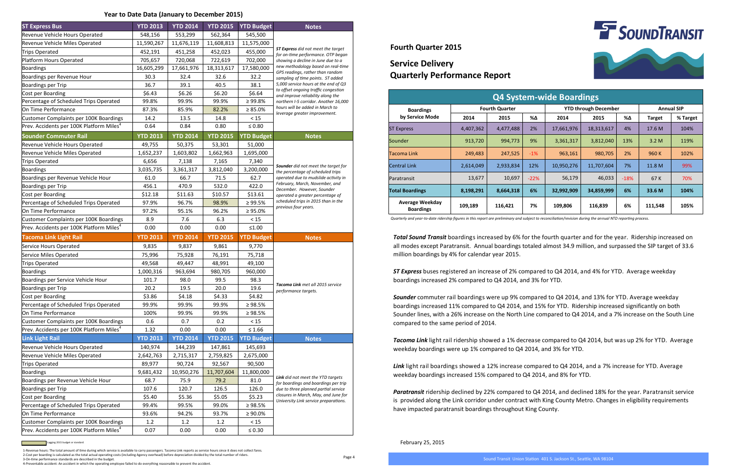## **Service Delivery Quarterly Performance Report**

## **Fourth Quarter 2015**

*Total Sound Transit* boardings increased by 6% for the fourth quarter and for the year. Ridership increased on all modes except Paratransit. Annual boardings totaled almost 34.9 million, and surpassed the SIP target of 33.6 million boardings by 4% for calendar year 2015.

*ST Express* buses registered an increase of 2% compared to Q4 2014, and 4% for YTD. Average weekday boardings increased 2% compared to Q4 2014, and 3% for YTD.

*Sounder* commuter rail boardings were up 9% compared to Q4 2014, and 13% for YTD. Average weekday boardings increased 11% compared to Q4 2014, and 15% for YTD. Ridership increased significantly on both Sounder lines, with a 26% increase on the North Line compared to Q4 2014, and a 7% increase on the South Line compared to the same period of 2014.

*Tacoma Link* light rail ridership showed a 1% decrease compared to Q4 2014, but was up 2% for YTD. Average weekday boardings were up 1% compared to Q4 2014, and 3% for YTD.

*Link* light rail boardings showed a 12% increase compared to Q4 2014, and a 7% increase for YTD. Average weekday boardings increased 15% compared to Q4 2014, and 8% for YTD.

*Paratransit* ridership declined by 22% compared to Q4 2014, and declined 18% for the year. Paratransit service is provided along the Link corridor under contract with King County Metro. Changes in eligibility requirements have impacted paratransit boardings throughout King County.

Page 4





1-Revenue hours: The total amount of time during which service is available to carry passengers. Tacoma Link reports as service hours since it does not collect fares. 2-Cost per boarding is calculated as the total actual operating costs (including Agency overhead) before depreciation divided by the total number of riders.

3-On-time performance standards are described in the budget.

4-Preventable accident: An accident in which the operating employee failed to do everything reasonable to prevent the accident.

February 25, 2015

| <b>ST Express Bus</b>                                                                          | <b>YTD 2013</b> | <b>YTD 2014</b> | <b>YTD 2015</b> | <b>YTD Budget</b>   | <b>Notes</b>                                                                     |
|------------------------------------------------------------------------------------------------|-----------------|-----------------|-----------------|---------------------|----------------------------------------------------------------------------------|
| Revenue Vehicle Hours Operated                                                                 | 548,156         | 553,299         | 562,364         | 545,500             |                                                                                  |
| Revenue Vehicle Miles Operated                                                                 | 11,590,267      | 11,676,119      | 11,608,813      | 11,575,000          |                                                                                  |
| <b>Trips Operated</b>                                                                          | 452,191         | 451,258         | 452,023         | 455,000             | <b>ST Express</b> did not meet the target                                        |
| Platform Hours Operated                                                                        | 705,657         | 720,068         | 722,619         | 702,000             | for on-time performance. OTP began<br>showing a decline in June due to a         |
| <b>Boardings</b>                                                                               | 16,605,299      | 17,661,976      | 18,313,617      | 17,580,000          | new methodology based on real-time                                               |
| Boardings per Revenue Hour                                                                     | 30.3            | 32.4            | 32.6            | 32.2                | GPS readings, rather than random<br>sampling of time points. ST added            |
| <b>Boardings per Trip</b>                                                                      | 36.7            | 39.1            | 40.5            | 38.1                | 5,000 service hours at the end of Q3                                             |
| Cost per Boarding                                                                              | \$6.43          | \$6.26          | \$6.20          | \$6.64              | to offset ongoing traffic congestion<br>and improve reliability along the        |
| Percentage of Scheduled Trips Operated                                                         | 99.8%           | 99.9%           | 99.9%           | $\geq 99.8\%$       | northern I-5 corridor. Another 16,000                                            |
| On Time Performance                                                                            | 87.3%           | 85.9%           | 82.2%           | $\geq 85.0\%$       | hours will be added in March to                                                  |
| Customer Complaints per 100K Boardings                                                         | 14.2            | 13.5            | 14.8            | $<15$               | leverage greater improvement.                                                    |
| Prev. Accidents per 100K Platform Miles <sup>4</sup>                                           | 0.64            | 0.84            | 0.80            | $\leq 0.80$         |                                                                                  |
| <b>Sounder Commuter Rail</b>                                                                   | <b>YTD 2013</b> | <b>YTD 2014</b> | <b>YTD 2015</b> | <b>YTD Budget</b>   | <b>Notes</b>                                                                     |
| Revenue Vehicle Hours Operated                                                                 | 49,755          | 50,375          | 53,301          | 51,000              |                                                                                  |
| Revenue Vehicle Miles Operated                                                                 | 1,652,237       | 1,603,802       | 1,662,963       | 1,695,000           |                                                                                  |
| Trips Operated                                                                                 | 6,656           | 7,138           | 7,165           | 7,340               |                                                                                  |
| <b>Boardings</b>                                                                               | 3,035,735       | 3,361,317       | 3,812,040       | 3,200,000           | Sounder did not meet the target for<br>the percentage of scheduled trips         |
| Boardings per Revenue Vehicle Hour                                                             | 61.0            | 66.7            | 71.5            | 62.7                | operated due to mudslide activity in                                             |
| <b>Boardings per Trip</b>                                                                      | 456.1           | 470.9           | 532.0           | 422.0               | February, March, November, and<br>December. However, Sounder                     |
| Cost per Boarding                                                                              | \$12.18         | \$11.63         | \$10.57         | \$13.61             | operated a greater percentage of                                                 |
| Percentage of Scheduled Trips Operated                                                         | 97.9%           | 96.7%           | 98.9%           | $\geq 99.5\%$       | scheduled trips in 2015 than in the<br>previous four years.                      |
| On Time Performance                                                                            | 97.2%           | 95.1%           | 96.2%           | $\geq 95.0\%$       |                                                                                  |
| Customer Complaints per 100K Boardings                                                         | 8.9             | 7.6             | 6.3             | < 15                |                                                                                  |
| Prev. Accidents per 100K Platform Miles <sup>4</sup>                                           | 0.00            | 0.00            | 0.00            | $\leq1.00$          |                                                                                  |
| <b>Tacoma Link Light Rail</b>                                                                  | <b>YTD 2013</b> | <b>YTD 2014</b> | <b>YTD 2015</b> | <b>YTD Budget</b>   | <b>Notes</b>                                                                     |
| Service Hours Operated                                                                         | 9,835           | 9,837           | 9,861           | 9,770               |                                                                                  |
| <b>Service Miles Operated</b>                                                                  | 75,996          | 75,928          | 76,191          | 75,718              |                                                                                  |
| <b>Trips Operated</b>                                                                          | 49,568          |                 |                 |                     |                                                                                  |
| <b>Boardings</b>                                                                               |                 | 49,447          | 48,991          | 49,100              |                                                                                  |
|                                                                                                | 1,000,316       | 963,694         | 980,705         | 960,000             |                                                                                  |
| Boardings per Service Vehicle Hour                                                             | 101.7           | 98.0            | 99.5            | 98.3                |                                                                                  |
| Boardings per Trip                                                                             | 20.2            | 19.5            | 20.0            | 19.6                | Tacoma Link met all 2015 service<br>performance targets.                         |
| Cost per Boarding                                                                              | \$3.86          | \$4.18          | \$4.33          | \$4.82              |                                                                                  |
| Percentage of Scheduled Trips Operated                                                         | 99.9%           | 99.9%           | 99.9%           | $\geq 98.5\%$       |                                                                                  |
| On Time Performance                                                                            | 100%            | 99.9%           | 99.9%           | $\geq 98.5\%$       |                                                                                  |
| Customer Complaints per 100K Boardings                                                         | 0.6             | 0.7             | 0.2             | < 15                |                                                                                  |
| Prev. Accidents per 100K Platform Miles <sup>4</sup>                                           | 1.32            | 0.00            | 0.00            | $\leq 1.66$         |                                                                                  |
| <b>Link Light Rail</b>                                                                         | <b>YTD 2013</b> | <b>YTD 2014</b> | <b>YTD 2015</b> | <b>YTD Budget</b>   | <b>Notes</b>                                                                     |
| Revenue Vehicle Hours Operated                                                                 | 140,974         | 144,239         | 147,861         | 145,693             |                                                                                  |
| Revenue Vehicle Miles Operated                                                                 | 2,642,763       | 2,715,317       | 2,759,825       | 2,675,000           |                                                                                  |
| <b>Trips Operated</b>                                                                          | 89,977          | 90,724          | 92,567          | 90,500              |                                                                                  |
| <b>Boardings</b>                                                                               | 9,681,432       | 10,950,276      | 11,707,604      | 11,800,000          |                                                                                  |
| Boardings per Revenue Vehicle Hour                                                             | 68.7            | 75.9            | 79.2            | 81.0                | <b>Link</b> did not meet the YTD targets<br>for boardings and boardings per trip |
| <b>Boardings per Trip</b>                                                                      | 107.6           | 120.7           | 126.5           | 126.0               | due to three planned partial service                                             |
| Cost per Boarding                                                                              | \$5.40          | \$5.36          | \$5.05          | \$5.23              | closures in March, May, and June for<br>University Link service preparations.    |
| Percentage of Scheduled Trips Operated                                                         | 99.4%           | 99.5%           | 99.0%           | $\geq 98.5\%$       |                                                                                  |
| On Time Performance                                                                            | 93.6%           | 94.2%           | 93.7%           | $\geq 90.0\%$       |                                                                                  |
| Customer Complaints per 100K Boardings<br>Prev. Accidents per 100K Platform Miles <sup>4</sup> | 1.2<br>0.07     | 1.2<br>0.00     | 1.2<br>0.00     | < 15<br>$\leq 0.30$ |                                                                                  |

Lagging 2015 budget or standard

| <b>Q4 System-wide Boardings</b>            |                       |           |        |                             |            |        |                   |          |
|--------------------------------------------|-----------------------|-----------|--------|-----------------------------|------------|--------|-------------------|----------|
| <b>Boardings</b><br>by Service Mode        | <b>Fourth Quarter</b> |           |        | <b>YTD through December</b> |            |        | <b>Annual SIP</b> |          |
|                                            | 2014                  | 2015      | %Δ     | 2014                        | 2015       | %Δ     | <b>Target</b>     | % Target |
| <b>ST Express</b>                          | 4,407,362             | 4,477,488 | 2%     | 17,661,976                  | 18,313,617 | 4%     | 17.6 M            | 104%     |
| Sounder                                    | 913,720               | 994,773   | 9%     | 3,361,317                   | 3,812,040  | 13%    | 3.2 M             | 119%     |
| Tacoma Link                                | 249,483               | 247,525   | $-1%$  | 963,161                     | 980,705    | 2%     | 960 K             | 102%     |
| <b>Central Link</b>                        | 2,614,049             | 2,933,834 | 12%    | 10,950,276                  | 11,707,604 | 7%     | 11.8 M            | 99%      |
| Paratransit                                | 13,677                | 10,697    | $-22%$ | 56,179                      | 46,033     | $-18%$ | 67 K              | 70%      |
| <b>Total Boardings</b>                     | 8,198,291             | 8,664,318 | 6%     | 32,992,909                  | 34,859,999 | 6%     | 33.6 M            | 104%     |
| <b>Average Weekday</b><br><b>Boardings</b> | 109,189               | 116,421   | 7%     | 109,806                     | 116,839    | 6%     | 111,548           | 105%     |

*Quarterly and year-to-date ridership figures in this report are preliminary and subject to reconciliation/revision during the annual NTD reporting process.*